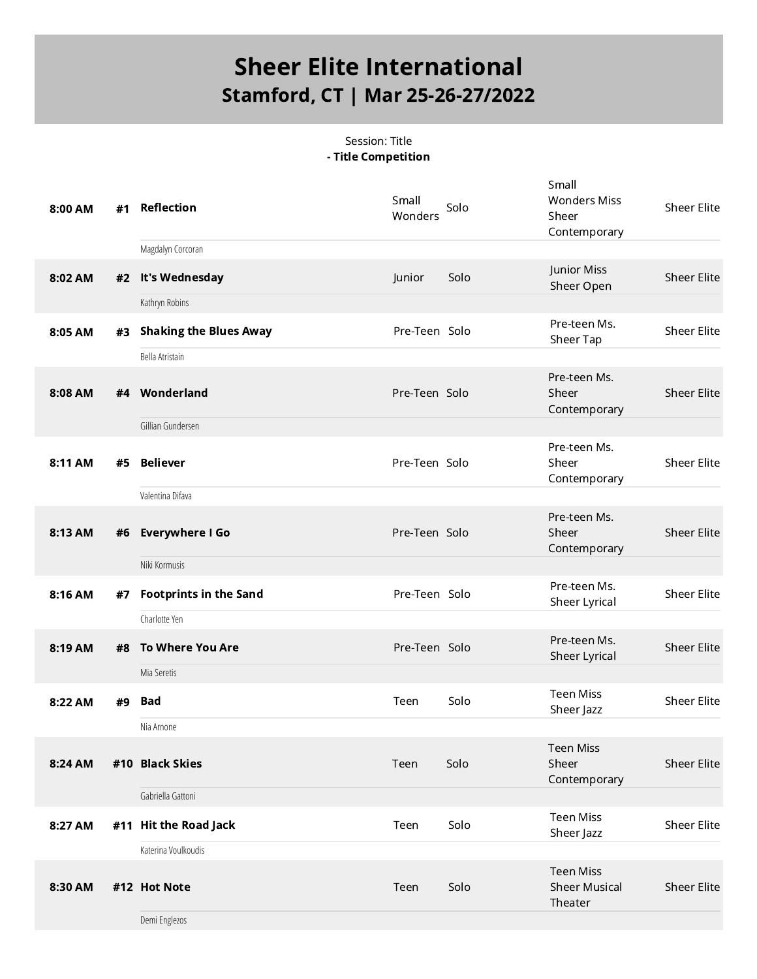#### Session: Title - Title Competition

| 8:00 AM | #1 | <b>Reflection</b>             | Small<br>Wonders | Solo | Small<br><b>Wonders Miss</b><br>Sheer<br>Contemporary | Sheer Elite        |
|---------|----|-------------------------------|------------------|------|-------------------------------------------------------|--------------------|
|         |    | Magdalyn Corcoran             |                  |      |                                                       |                    |
| 8:02 AM | #2 | It's Wednesday                | Junior           | Solo | Junior Miss<br>Sheer Open                             | <b>Sheer Elite</b> |
|         |    | Kathryn Robins                |                  |      |                                                       |                    |
| 8:05 AM | #3 | <b>Shaking the Blues Away</b> | Pre-Teen Solo    |      | Pre-teen Ms.<br>Sheer Tap                             | <b>Sheer Elite</b> |
|         |    | Bella Atristain               |                  |      |                                                       |                    |
| 8:08 AM |    | #4 Wonderland                 | Pre-Teen Solo    |      | Pre-teen Ms.<br>Sheer<br>Contemporary                 | <b>Sheer Elite</b> |
|         |    | Gillian Gundersen             |                  |      |                                                       |                    |
| 8:11 AM | #5 | <b>Believer</b>               | Pre-Teen Solo    |      | Pre-teen Ms.<br>Sheer<br>Contemporary                 | <b>Sheer Elite</b> |
|         |    | Valentina Difava              |                  |      |                                                       |                    |
| 8:13 AM | #6 | <b>Everywhere I Go</b>        | Pre-Teen Solo    |      | Pre-teen Ms.<br>Sheer<br>Contemporary                 | <b>Sheer Elite</b> |
|         |    | Niki Kormusis                 |                  |      |                                                       |                    |
| 8:16 AM | #7 | <b>Footprints in the Sand</b> | Pre-Teen Solo    |      | Pre-teen Ms.<br>Sheer Lyrical                         | <b>Sheer Elite</b> |
|         |    | Charlotte Yen                 |                  |      |                                                       |                    |
| 8:19 AM | #8 | <b>To Where You Are</b>       | Pre-Teen Solo    |      | Pre-teen Ms.<br>Sheer Lyrical                         | Sheer Elite        |
|         |    | Mia Seretis                   |                  |      |                                                       |                    |
| 8:22 AM | #9 | Bad                           | Teen             | Solo | <b>Teen Miss</b><br>Sheer Jazz                        | <b>Sheer Elite</b> |
|         |    | Nia Arnone                    |                  |      |                                                       |                    |
| 8:24 AM |    | #10 Black Skies               | Teen             | Solo | <b>Teen Miss</b><br>Sheer<br>Contemporary             | Sheer Elite        |
|         |    | Gabriella Gattoni             |                  |      |                                                       |                    |
| 8:27 AM |    | #11 Hit the Road Jack         | Teen             | Solo | <b>Teen Miss</b><br>Sheer Jazz                        | <b>Sheer Elite</b> |
|         |    | Katerina Voulkoudis           |                  |      |                                                       |                    |
| 8:30 AM |    | #12 Hot Note                  | Teen             | Solo | <b>Teen Miss</b><br><b>Sheer Musical</b><br>Theater   | <b>Sheer Elite</b> |
|         |    | Demi Englezos                 |                  |      |                                                       |                    |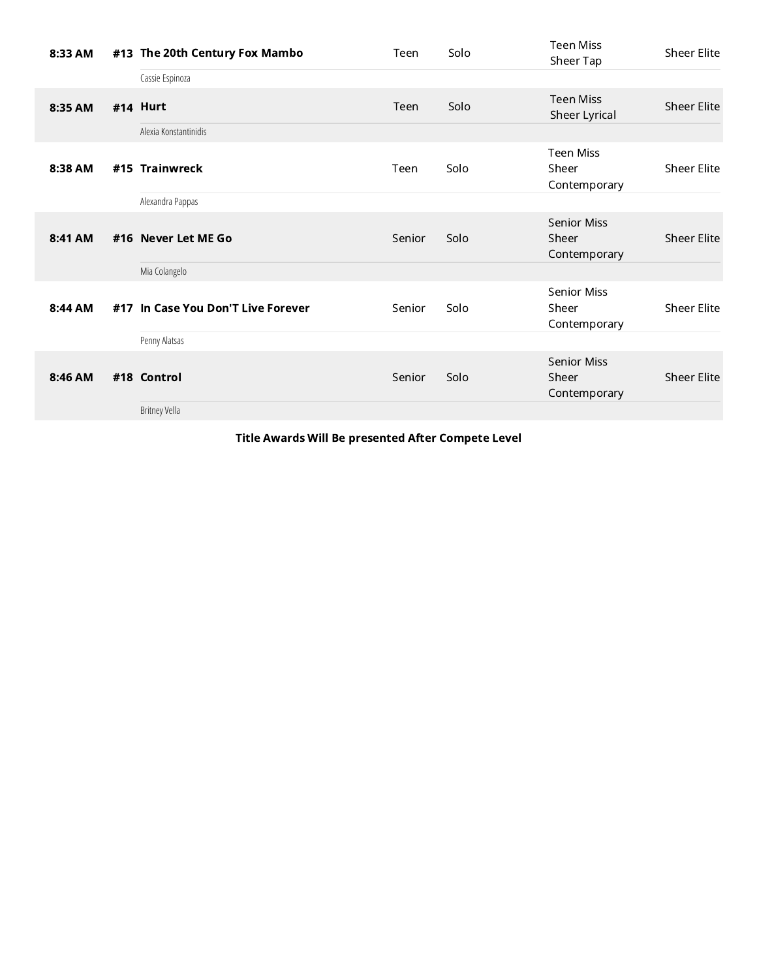| 8:33 AM | #13 The 20th Century Fox Mambo     | Teen   | Solo | Teen Miss<br>Sheer Tap                      | Sheer Elite |
|---------|------------------------------------|--------|------|---------------------------------------------|-------------|
|         | Cassie Espinoza                    |        |      |                                             |             |
| 8:35 AM | #14 Hurt                           | Teen   | Solo | <b>Teen Miss</b><br>Sheer Lyrical           | Sheer Elite |
|         | Alexia Konstantinidis              |        |      |                                             |             |
| 8:38 AM | #15 Trainwreck                     | Teen   | Solo | <b>Teen Miss</b><br>Sheer<br>Contemporary   | Sheer Elite |
|         | Alexandra Pappas                   |        |      |                                             |             |
| 8:41 AM | #16 Never Let ME Go                | Senior | Solo | <b>Senior Miss</b><br>Sheer<br>Contemporary | Sheer Elite |
|         | Mia Colangelo                      |        |      |                                             |             |
| 8:44 AM | #17 In Case You Don'T Live Forever | Senior | Solo | Senior Miss<br>Sheer<br>Contemporary        | Sheer Elite |
|         | Penny Alatsas                      |        |      |                                             |             |
| 8:46 AM | #18 Control                        | Senior | Solo | Senior Miss<br>Sheer<br>Contemporary        | Sheer Elite |
|         | Britney Vella                      |        |      |                                             |             |

Title Awards Will Be presented After Compete Level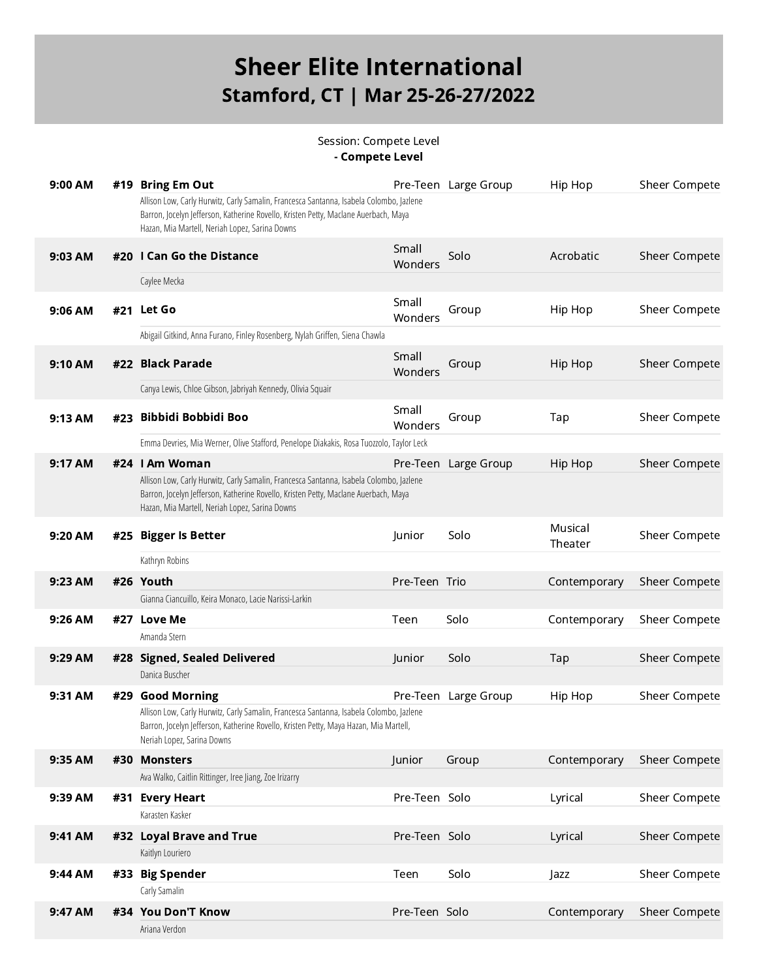#### Session: Compete Level - Compete Level

| 9:00 AM |     | #19 Bring Em Out                                                                                                                                                                                                                 |                  | Pre-Teen Large Group | Hip Hop            | Sheer Compete        |
|---------|-----|----------------------------------------------------------------------------------------------------------------------------------------------------------------------------------------------------------------------------------|------------------|----------------------|--------------------|----------------------|
|         |     | Allison Low, Carly Hurwitz, Carly Samalin, Francesca Santanna, Isabela Colombo, Jazlene<br>Barron, Jocelyn Jefferson, Katherine Rovello, Kristen Petty, Maclane Auerbach, Maya<br>Hazan, Mia Martell, Neriah Lopez, Sarina Downs |                  |                      |                    |                      |
| 9:03 AM |     | #20 I Can Go the Distance                                                                                                                                                                                                        | Small<br>Wonders | Solo                 | Acrobatic          | Sheer Compete        |
|         |     | Caylee Mecka                                                                                                                                                                                                                     |                  |                      |                    |                      |
| 9:06 AM |     | #21 Let Go                                                                                                                                                                                                                       | Small<br>Wonders | Group                | Hip Hop            | Sheer Compete        |
|         |     | Abigail Gitkind, Anna Furano, Finley Rosenberg, Nylah Griffen, Siena Chawla                                                                                                                                                      |                  |                      |                    |                      |
| 9:10 AM |     | #22 Black Parade                                                                                                                                                                                                                 | Small<br>Wonders | Group                | Hip Hop            | Sheer Compete        |
|         |     | Canya Lewis, Chloe Gibson, Jabriyah Kennedy, Olivia Squair                                                                                                                                                                       |                  |                      |                    |                      |
| 9:13 AM |     | #23 Bibbidi Bobbidi Boo                                                                                                                                                                                                          | Small<br>Wonders | Group                | Tap                | <b>Sheer Compete</b> |
|         |     | Emma Devries, Mia Werner, Olive Stafford, Penelope Diakakis, Rosa Tuozzolo, Taylor Leck                                                                                                                                          |                  |                      |                    |                      |
| 9:17 AM |     | #24 I Am Woman                                                                                                                                                                                                                   |                  | Pre-Teen Large Group | Hip Hop            | Sheer Compete        |
|         |     | Allison Low, Carly Hurwitz, Carly Samalin, Francesca Santanna, Isabela Colombo, Jazlene<br>Barron, Jocelyn Jefferson, Katherine Rovello, Kristen Petty, Maclane Auerbach, Maya<br>Hazan, Mia Martell, Neriah Lopez, Sarina Downs |                  |                      |                    |                      |
| 9:20 AM |     | #25 Bigger Is Better                                                                                                                                                                                                             | Junior           | Solo                 | Musical<br>Theater | Sheer Compete        |
|         |     |                                                                                                                                                                                                                                  |                  |                      |                    |                      |
|         |     | Kathryn Robins                                                                                                                                                                                                                   |                  |                      |                    |                      |
| 9:23 AM |     | #26 Youth                                                                                                                                                                                                                        | Pre-Teen Trio    |                      | Contemporary       | <b>Sheer Compete</b> |
|         |     | Gianna Ciancuillo, Keira Monaco, Lacie Narissi-Larkin                                                                                                                                                                            |                  |                      |                    |                      |
| 9:26 AM |     | #27 Love Me                                                                                                                                                                                                                      | Teen             | Solo                 | Contemporary       | Sheer Compete        |
|         |     | Amanda Stern                                                                                                                                                                                                                     |                  |                      |                    |                      |
| 9:29 AM |     | #28 Signed, Sealed Delivered                                                                                                                                                                                                     | Junior           | Solo                 | Tap                | Sheer Compete        |
|         |     | Danica Buscher                                                                                                                                                                                                                   |                  |                      |                    |                      |
| 9:31 AM | #29 | <b>Good Morning</b>                                                                                                                                                                                                              | Pre-Teen         | Large Group          | Hip Hop            | Sheer Compete        |
|         |     | Allison Low, Carly Hurwitz, Carly Samalin, Francesca Santanna, Isabela Colombo, Jazlene<br>Barron, Jocelyn Jefferson, Katherine Rovello, Kristen Petty, Maya Hazan, Mia Martell,<br>Neriah Lopez, Sarina Downs                   |                  |                      |                    |                      |
| 9:35 AM |     | #30 Monsters                                                                                                                                                                                                                     | Junior           | Group                | Contemporary       | Sheer Compete        |
|         |     | Ava Walko, Caitlin Rittinger, Iree Jiang, Zoe Irizarry                                                                                                                                                                           |                  |                      |                    |                      |
| 9:39 AM |     | #31 Every Heart                                                                                                                                                                                                                  | Pre-Teen Solo    |                      | Lyrical            | Sheer Compete        |
|         |     | Karasten Kasker                                                                                                                                                                                                                  |                  |                      |                    |                      |
| 9:41 AM |     | #32 Loyal Brave and True                                                                                                                                                                                                         | Pre-Teen Solo    |                      | Lyrical            | Sheer Compete        |
|         |     | Kaitlyn Louriero                                                                                                                                                                                                                 |                  |                      |                    |                      |
| 9:44 AM |     | #33 Big Spender                                                                                                                                                                                                                  | Teen             | Solo                 | Jazz               | Sheer Compete        |
| 9:47 AM |     | Carly Samalin<br>#34 You Don'T Know                                                                                                                                                                                              | Pre-Teen Solo    |                      | Contemporary       | Sheer Compete        |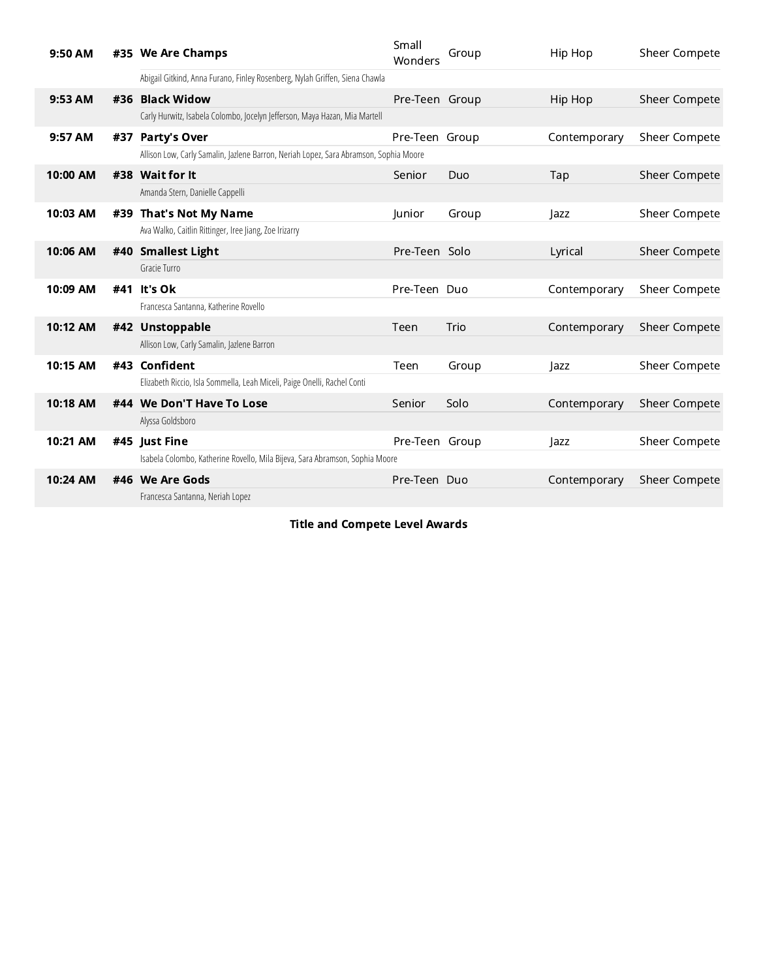| 9:50 AM  |  | #35 We Are Champs                                                                     | Small<br>Wonders | Group | Hip Hop      | Sheer Compete        |
|----------|--|---------------------------------------------------------------------------------------|------------------|-------|--------------|----------------------|
|          |  | Abigail Gitkind, Anna Furano, Finley Rosenberg, Nylah Griffen, Siena Chawla           |                  |       |              |                      |
| 9:53 AM  |  | #36 Black Widow                                                                       | Pre-Teen Group   |       | Hip Hop      | Sheer Compete        |
|          |  | Carly Hurwitz, Isabela Colombo, Jocelyn Jefferson, Maya Hazan, Mia Martell            |                  |       |              |                      |
| 9:57 AM  |  | #37 Party's Over                                                                      | Pre-Teen Group   |       | Contemporary | Sheer Compete        |
|          |  | Allison Low, Carly Samalin, Jazlene Barron, Neriah Lopez, Sara Abramson, Sophia Moore |                  |       |              |                      |
| 10:00 AM |  | #38 Wait for It                                                                       | Senior           | Duo   | Tap          | <b>Sheer Compete</b> |
|          |  | Amanda Stern, Danielle Cappelli                                                       |                  |       |              |                      |
| 10:03 AM |  | #39 That's Not My Name                                                                | Junior           | Group | Jazz         | <b>Sheer Compete</b> |
|          |  | Ava Walko, Caitlin Rittinger, Iree Jiang, Zoe Irizarry                                |                  |       |              |                      |
| 10:06 AM |  | #40 Smallest Light                                                                    | Pre-Teen Solo    |       | Lyrical      | <b>Sheer Compete</b> |
|          |  | Gracie Turro                                                                          |                  |       |              |                      |
| 10:09 AM |  | #41 It's Ok                                                                           | Pre-Teen Duo     |       | Contemporary | Sheer Compete        |
|          |  | Francesca Santanna, Katherine Rovello                                                 |                  |       |              |                      |
| 10:12 AM |  | #42 Unstoppable                                                                       | Teen             | Trio  | Contemporary | <b>Sheer Compete</b> |
|          |  | Allison Low, Carly Samalin, Jazlene Barron                                            |                  |       |              |                      |
| 10:15 AM |  | #43 Confident                                                                         | Teen             | Group | azz          | <b>Sheer Compete</b> |
|          |  | Elizabeth Riccio, Isla Sommella, Leah Miceli, Paige Onelli, Rachel Conti              |                  |       |              |                      |
| 10:18 AM |  | #44 We Don'T Have To Lose                                                             | Senior           | Solo  | Contemporary | <b>Sheer Compete</b> |
|          |  | Alyssa Goldsboro                                                                      |                  |       |              |                      |
| 10:21 AM |  | #45 lust Fine                                                                         | Pre-Teen Group   |       | azz          | Sheer Compete        |
|          |  | Isabela Colombo, Katherine Rovello, Mila Bijeva, Sara Abramson, Sophia Moore          |                  |       |              |                      |
| 10:24 AM |  | #46 We Are Gods                                                                       | Pre-Teen Duo     |       | Contemporary | Sheer Compete        |
|          |  | Francesca Santanna, Neriah Lopez                                                      |                  |       |              |                      |

Title and Compete Level Awards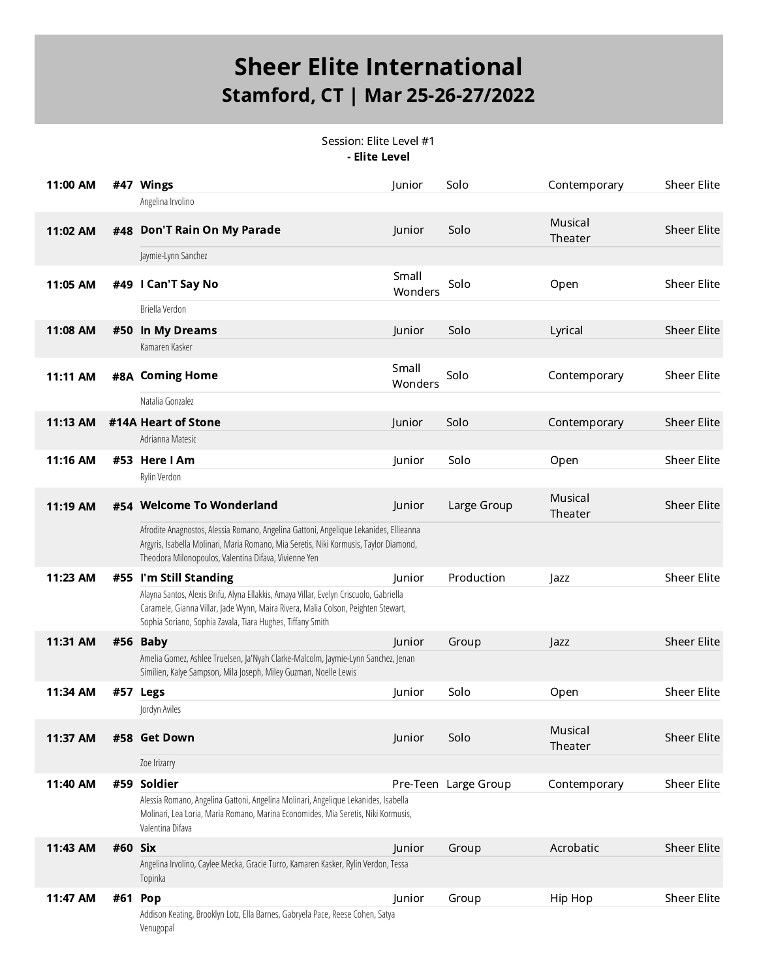Session: Elite Level #1 - Elite Level

| 11:00 AM |         | #47 Wings                                                                                                                                                                                                                                 | Junior           | Solo                 | Contemporary       | <b>Sheer Elite</b> |
|----------|---------|-------------------------------------------------------------------------------------------------------------------------------------------------------------------------------------------------------------------------------------------|------------------|----------------------|--------------------|--------------------|
|          |         | Angelina Irvolino                                                                                                                                                                                                                         |                  |                      |                    |                    |
| 11:02 AM |         | #48 Don'T Rain On My Parade                                                                                                                                                                                                               | Junior           | Solo                 | Musical<br>Theater | <b>Sheer Elite</b> |
|          |         | Jaymie-Lynn Sanchez                                                                                                                                                                                                                       |                  |                      |                    |                    |
| 11:05 AM |         | #49 I Can'T Say No                                                                                                                                                                                                                        | Small<br>Wonders | Solo                 | Open               | <b>Sheer Elite</b> |
|          |         | Briella Verdon                                                                                                                                                                                                                            |                  |                      |                    |                    |
| 11:08 AM |         | #50 In My Dreams                                                                                                                                                                                                                          | Junior           | Solo                 | Lyrical            | <b>Sheer Elite</b> |
|          |         | Kamaren Kasker                                                                                                                                                                                                                            |                  |                      |                    |                    |
| 11:11 AM |         | #8A Coming Home                                                                                                                                                                                                                           | Small<br>Wonders | Solo                 | Contemporary       | <b>Sheer Elite</b> |
|          |         | Natalia Gonzalez                                                                                                                                                                                                                          |                  |                      |                    |                    |
| 11:13 AM |         | #14A Heart of Stone                                                                                                                                                                                                                       | Junior           | Solo                 | Contemporary       | <b>Sheer Elite</b> |
|          |         | Adrianna Matesic                                                                                                                                                                                                                          |                  |                      |                    |                    |
| 11:16 AM |         | #53 Here I Am                                                                                                                                                                                                                             | Junior           | Solo                 | Open               | <b>Sheer Elite</b> |
|          |         | Rylin Verdon                                                                                                                                                                                                                              |                  |                      |                    |                    |
| 11:19 AM |         | #54 Welcome To Wonderland                                                                                                                                                                                                                 | Junior           | Large Group          | Musical<br>Theater | <b>Sheer Elite</b> |
|          |         | Afrodite Anagnostos, Alessia Romano, Angelina Gattoni, Angelique Lekanides, Ellieanna<br>Argyris, Isabella Molinari, Maria Romano, Mia Seretis, Niki Kormusis, Taylor Diamond,<br>Theodora Milonopoulos, Valentina Difava, Vivienne Yen   |                  |                      |                    |                    |
| 11:23 AM |         | #55 I'm Still Standing                                                                                                                                                                                                                    | Junior           | Production           | Jazz               | <b>Sheer Elite</b> |
|          |         | Alayna Santos, Alexis Brifu, Alyna Ellakkis, Amaya Villar, Evelyn Criscuolo, Gabriella<br>Caramele, Gianna Villar, Jade Wynn, Maira Rivera, Malia Colson, Peighten Stewart,<br>Sophia Soriano, Sophia Zavala, Tiara Hughes, Tiffany Smith |                  |                      |                    |                    |
| 11:31 AM |         | #56 Baby                                                                                                                                                                                                                                  | Junior           | Group                | Jazz               | <b>Sheer Elite</b> |
|          |         | Amelia Gomez, Ashlee Truelsen, Ja'Nyah Clarke-Malcolm, Jaymie-Lynn Sanchez, Jenan<br>Similien, Kalye Sampson, Mila Joseph, Miley Guzman, Noelle Lewis                                                                                     |                  |                      |                    |                    |
| 11:34 AM |         | #57 Legs                                                                                                                                                                                                                                  | Junior           | Solo                 | Open               | <b>Sheer Elite</b> |
|          |         | Jordyn Aviles                                                                                                                                                                                                                             |                  |                      |                    |                    |
| 11:37 AM |         | #58 Get Down                                                                                                                                                                                                                              | Junior           | Solo                 | Musical<br>Theater | <b>Sheer Elite</b> |
|          |         | Zoe Irizarry                                                                                                                                                                                                                              |                  |                      |                    |                    |
| 11:40 AM |         | #59 Soldier                                                                                                                                                                                                                               |                  | Pre-Teen Large Group | Contemporary       | Sheer Elite        |
|          |         | Alessia Romano, Angelina Gattoni, Angelina Molinari, Angelique Lekanides, Isabella<br>Molinari, Lea Loria, Maria Romano, Marina Economides, Mia Seretis, Niki Kormusis,<br>Valentina Difava                                               |                  |                      |                    |                    |
| 11:43 AM | #60 Six |                                                                                                                                                                                                                                           | Junior           | Group                | Acrobatic          | <b>Sheer Elite</b> |
|          |         | Angelina Irvolino, Caylee Mecka, Gracie Turro, Kamaren Kasker, Rylin Verdon, Tessa<br>Topinka                                                                                                                                             |                  |                      |                    |                    |
| 11:47 AM | #61 Pop |                                                                                                                                                                                                                                           | Junior           | Group                | Hip Hop            | <b>Sheer Elite</b> |
|          |         | Addison Keating, Brooklyn Lotz, Ella Barnes, Gabryela Pace, Reese Cohen, Satya<br>Venugopal                                                                                                                                               |                  |                      |                    |                    |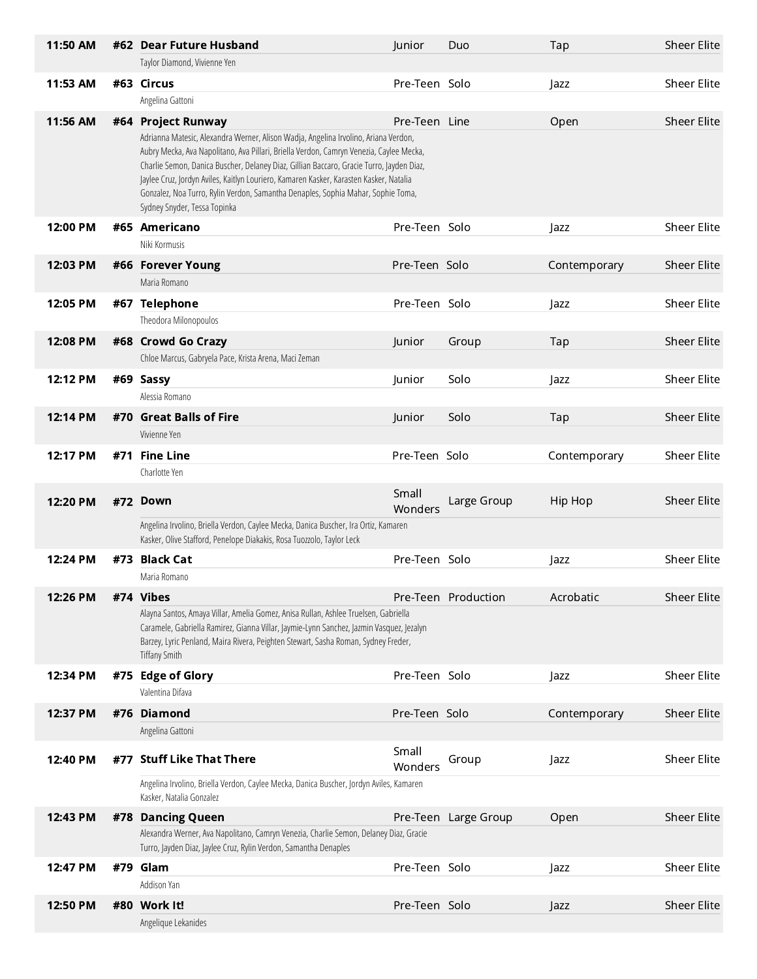| 11:50 AM |     | #62 Dear Future Husband                                                                                                                                                                                                                                                                                                                                                                                                                                                        | Junior           | Duo                 | Tap          | <b>Sheer Elite</b> |
|----------|-----|--------------------------------------------------------------------------------------------------------------------------------------------------------------------------------------------------------------------------------------------------------------------------------------------------------------------------------------------------------------------------------------------------------------------------------------------------------------------------------|------------------|---------------------|--------------|--------------------|
|          |     | Taylor Diamond, Vivienne Yen                                                                                                                                                                                                                                                                                                                                                                                                                                                   |                  |                     |              |                    |
| 11:53 AM |     | #63 Circus                                                                                                                                                                                                                                                                                                                                                                                                                                                                     | Pre-Teen Solo    |                     | Jazz         | <b>Sheer Elite</b> |
|          |     | Angelina Gattoni                                                                                                                                                                                                                                                                                                                                                                                                                                                               |                  |                     |              |                    |
| 11:56 AM |     | #64 Project Runway<br>Adrianna Matesic, Alexandra Werner, Alison Wadja, Angelina Irvolino, Ariana Verdon,<br>Aubry Mecka, Ava Napolitano, Ava Pillari, Briella Verdon, Camryn Venezia, Caylee Mecka,<br>Charlie Semon, Danica Buscher, Delaney Diaz, Gillian Baccaro, Gracie Turro, Jayden Diaz,<br>Jaylee Cruz, Jordyn Aviles, Kaitlyn Louriero, Kamaren Kasker, Karasten Kasker, Natalia<br>Gonzalez, Noa Turro, Rylin Verdon, Samantha Denaples, Sophia Mahar, Sophie Toma, | Pre-Teen Line    |                     | Open         | <b>Sheer Elite</b> |
|          |     | Sydney Snyder, Tessa Topinka                                                                                                                                                                                                                                                                                                                                                                                                                                                   |                  |                     |              |                    |
| 12:00 PM |     | #65 Americano                                                                                                                                                                                                                                                                                                                                                                                                                                                                  | Pre-Teen Solo    |                     | Jazz         | <b>Sheer Elite</b> |
|          |     | Niki Kormusis                                                                                                                                                                                                                                                                                                                                                                                                                                                                  |                  |                     |              |                    |
| 12:03 PM |     | #66 Forever Young                                                                                                                                                                                                                                                                                                                                                                                                                                                              | Pre-Teen Solo    |                     | Contemporary | <b>Sheer Elite</b> |
|          |     | Maria Romano                                                                                                                                                                                                                                                                                                                                                                                                                                                                   |                  |                     |              |                    |
| 12:05 PM |     | #67 Telephone                                                                                                                                                                                                                                                                                                                                                                                                                                                                  | Pre-Teen Solo    |                     | Jazz         | <b>Sheer Elite</b> |
|          |     | Theodora Milonopoulos                                                                                                                                                                                                                                                                                                                                                                                                                                                          |                  |                     |              |                    |
| 12:08 PM |     | #68 Crowd Go Crazy                                                                                                                                                                                                                                                                                                                                                                                                                                                             | Junior           | Group               | Tap          | <b>Sheer Elite</b> |
|          |     | Chloe Marcus, Gabryela Pace, Krista Arena, Maci Zeman                                                                                                                                                                                                                                                                                                                                                                                                                          |                  |                     |              |                    |
| 12:12 PM |     | #69 Sassy                                                                                                                                                                                                                                                                                                                                                                                                                                                                      | Junior           | Solo                | Jazz         | <b>Sheer Elite</b> |
|          |     | Alessia Romano                                                                                                                                                                                                                                                                                                                                                                                                                                                                 |                  |                     |              |                    |
| 12:14 PM |     | #70 Great Balls of Fire                                                                                                                                                                                                                                                                                                                                                                                                                                                        | Junior           | Solo                | Tap          | <b>Sheer Elite</b> |
|          |     | Vivienne Yen                                                                                                                                                                                                                                                                                                                                                                                                                                                                   |                  |                     |              |                    |
| 12:17 PM | #71 | <b>Fine Line</b>                                                                                                                                                                                                                                                                                                                                                                                                                                                               | Pre-Teen Solo    |                     | Contemporary | <b>Sheer Elite</b> |
|          |     |                                                                                                                                                                                                                                                                                                                                                                                                                                                                                |                  |                     |              |                    |
|          |     | Charlotte Yen                                                                                                                                                                                                                                                                                                                                                                                                                                                                  |                  |                     |              |                    |
| 12:20 PM |     | #72 Down                                                                                                                                                                                                                                                                                                                                                                                                                                                                       | Small<br>Wonders | Large Group         | Hip Hop      | <b>Sheer Elite</b> |
|          |     | Angelina Irvolino, Briella Verdon, Caylee Mecka, Danica Buscher, Ira Ortiz, Kamaren<br>Kasker, Olive Stafford, Penelope Diakakis, Rosa Tuozzolo, Taylor Leck                                                                                                                                                                                                                                                                                                                   |                  |                     |              |                    |
| 12:24 PM | #73 | <b>Black Cat</b>                                                                                                                                                                                                                                                                                                                                                                                                                                                               | Pre-Teen Solo    |                     |              | <b>Sheer Elite</b> |
|          |     | Maria Romano                                                                                                                                                                                                                                                                                                                                                                                                                                                                   |                  |                     | Jazz         |                    |
|          |     |                                                                                                                                                                                                                                                                                                                                                                                                                                                                                |                  |                     |              |                    |
| 12:26 PM |     | #74 Vibes<br>Alayna Santos, Amaya Villar, Amelia Gomez, Anisa Rullan, Ashlee Truelsen, Gabriella<br>Caramele, Gabriella Ramirez, Gianna Villar, Jaymie-Lynn Sanchez, Jazmin Vasquez, Jezalyn<br>Barzey, Lyric Penland, Maira Rivera, Peighten Stewart, Sasha Roman, Sydney Freder,<br>Tiffany Smith                                                                                                                                                                            |                  | Pre-Teen Production | Acrobatic    | <b>Sheer Elite</b> |
| 12:34 PM | #75 | <b>Edge of Glory</b>                                                                                                                                                                                                                                                                                                                                                                                                                                                           | Pre-Teen Solo    |                     | Jazz         | Sheer Elite        |
|          |     | Valentina Difava                                                                                                                                                                                                                                                                                                                                                                                                                                                               |                  |                     |              |                    |
| 12:37 PM |     | #76 Diamond                                                                                                                                                                                                                                                                                                                                                                                                                                                                    | Pre-Teen Solo    |                     | Contemporary | <b>Sheer Elite</b> |
|          |     | Angelina Gattoni                                                                                                                                                                                                                                                                                                                                                                                                                                                               |                  |                     |              |                    |
| 12:40 PM |     | #77 Stuff Like That There                                                                                                                                                                                                                                                                                                                                                                                                                                                      | Small<br>Wonders | Group               | Jazz         | Sheer Elite        |
|          |     | Angelina Irvolino, Briella Verdon, Caylee Mecka, Danica Buscher, Jordyn Aviles, Kamaren<br>Kasker, Natalia Gonzalez                                                                                                                                                                                                                                                                                                                                                            |                  |                     |              |                    |
| 12:43 PM |     | #78 Dancing Queen                                                                                                                                                                                                                                                                                                                                                                                                                                                              | Pre-Teen         | Large Group         | Open         | <b>Sheer Elite</b> |
|          |     | Alexandra Werner, Ava Napolitano, Camryn Venezia, Charlie Semon, Delaney Diaz, Gracie<br>Turro, Jayden Diaz, Jaylee Cruz, Rylin Verdon, Samantha Denaples                                                                                                                                                                                                                                                                                                                      |                  |                     |              |                    |
| 12:47 PM |     | #79 Glam                                                                                                                                                                                                                                                                                                                                                                                                                                                                       | Pre-Teen Solo    |                     | Jazz         | <b>Sheer Elite</b> |
|          |     | Addison Yan                                                                                                                                                                                                                                                                                                                                                                                                                                                                    |                  |                     |              |                    |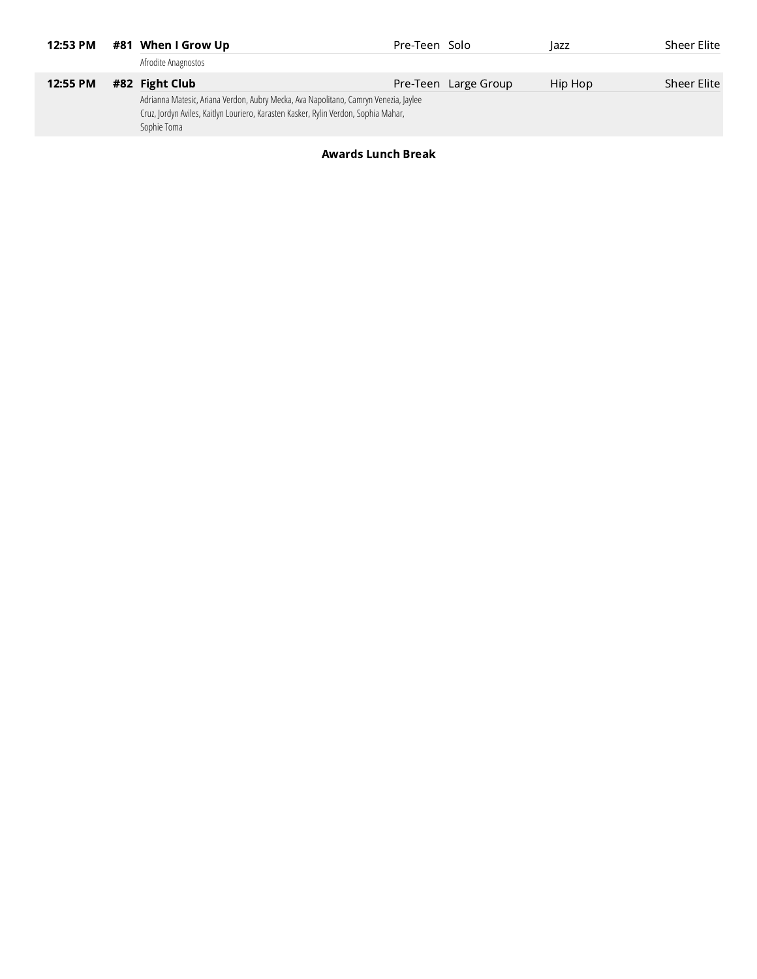| 12:53 PM | #81 When I Grow Up                                                                                                                                                                         | Pre-Teen Solo |                      | <b>azz</b> | Sheer Elite |
|----------|--------------------------------------------------------------------------------------------------------------------------------------------------------------------------------------------|---------------|----------------------|------------|-------------|
|          | Afrodite Anagnostos                                                                                                                                                                        |               |                      |            |             |
| 12:55 PM | #82 Fight Club                                                                                                                                                                             |               | Pre-Teen Large Group | Hip Hop    | Sheer Elite |
|          | Adrianna Matesic, Ariana Verdon, Aubry Mecka, Ava Napolitano, Camryn Venezia, Jaylee<br>Cruz, Jordyn Aviles, Kaitlyn Louriero, Karasten Kasker, Rylin Verdon, Sophia Mahar,<br>Sophie Toma |               |                      |            |             |

#### Awards Lunch Break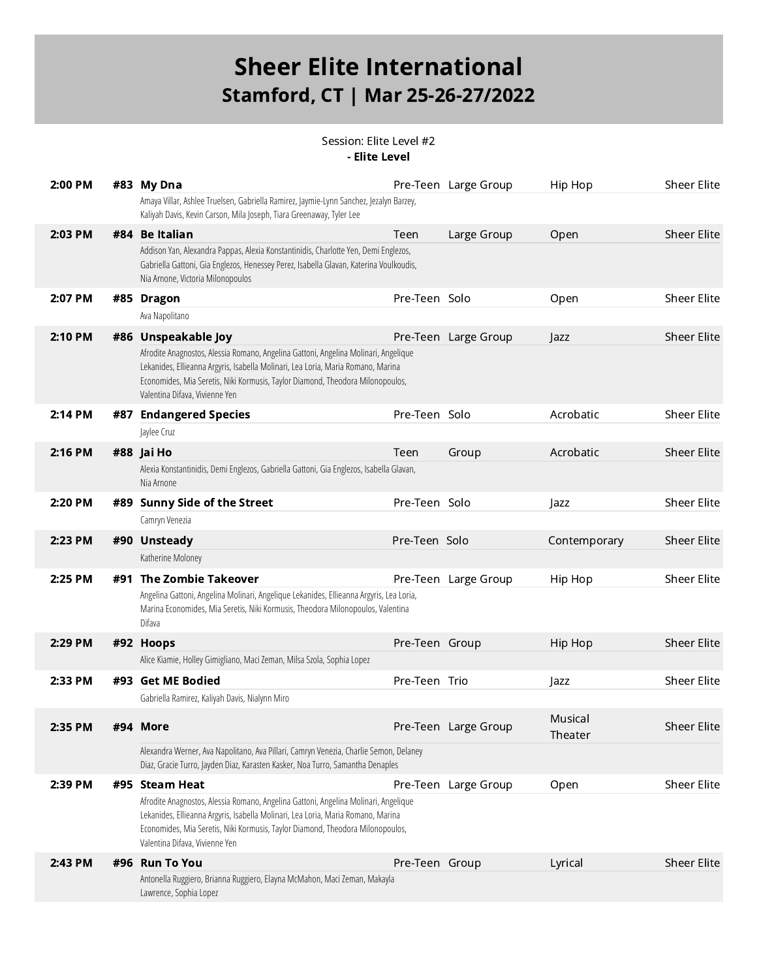Session: Elite Level #2 - Elite Level

| 2:00 PM | #83 My Dna                                                                                                                                                                                                                                                                                  |                | Pre-Teen Large Group | Hip Hop            | Sheer Elite        |
|---------|---------------------------------------------------------------------------------------------------------------------------------------------------------------------------------------------------------------------------------------------------------------------------------------------|----------------|----------------------|--------------------|--------------------|
|         | Amaya Villar, Ashlee Truelsen, Gabriella Ramirez, Jaymie-Lynn Sanchez, Jezalyn Barzey,<br>Kaliyah Davis, Kevin Carson, Mila Joseph, Tiara Greenaway, Tyler Lee                                                                                                                              |                |                      |                    |                    |
| 2:03 PM | #84 Be Italian                                                                                                                                                                                                                                                                              | Teen           | Large Group          | Open               | <b>Sheer Elite</b> |
|         | Addison Yan, Alexandra Pappas, Alexia Konstantinidis, Charlotte Yen, Demi Englezos,<br>Gabriella Gattoni, Gia Englezos, Henessey Perez, Isabella Glavan, Katerina Voulkoudis,<br>Nia Arnone, Victoria Milonopoulos                                                                          |                |                      |                    |                    |
| 2:07 PM | #85 Dragon                                                                                                                                                                                                                                                                                  | Pre-Teen Solo  |                      | Open               | Sheer Elite        |
|         | Ava Napolitano                                                                                                                                                                                                                                                                              |                |                      |                    |                    |
| 2:10 PM | #86 Unspeakable Joy                                                                                                                                                                                                                                                                         |                | Pre-Teen Large Group | Jazz               | <b>Sheer Elite</b> |
|         | Afrodite Anagnostos, Alessia Romano, Angelina Gattoni, Angelina Molinari, Angelique<br>Lekanides, Ellieanna Argyris, Isabella Molinari, Lea Loria, Maria Romano, Marina<br>Economides, Mia Seretis, Niki Kormusis, Taylor Diamond, Theodora Milonopoulos,<br>Valentina Difava, Vivienne Yen |                |                      |                    |                    |
| 2:14 PM | #87 Endangered Species                                                                                                                                                                                                                                                                      | Pre-Teen Solo  |                      | Acrobatic          | <b>Sheer Elite</b> |
|         | Jaylee Cruz                                                                                                                                                                                                                                                                                 |                |                      |                    |                    |
| 2:16 PM | #88 Jai Ho                                                                                                                                                                                                                                                                                  | Teen           | Group                | Acrobatic          | <b>Sheer Elite</b> |
|         | Alexia Konstantinidis, Demi Englezos, Gabriella Gattoni, Gia Englezos, Isabella Glavan,<br>Nia Arnone                                                                                                                                                                                       |                |                      |                    |                    |
| 2:20 PM | #89 Sunny Side of the Street                                                                                                                                                                                                                                                                | Pre-Teen Solo  |                      | Jazz               | <b>Sheer Elite</b> |
|         | Camryn Venezia                                                                                                                                                                                                                                                                              |                |                      |                    |                    |
| 2:23 PM | #90 Unsteady                                                                                                                                                                                                                                                                                | Pre-Teen Solo  |                      | Contemporary       | <b>Sheer Elite</b> |
|         | Katherine Moloney                                                                                                                                                                                                                                                                           |                |                      |                    |                    |
| 2:25 PM | #91 The Zombie Takeover                                                                                                                                                                                                                                                                     |                | Pre-Teen Large Group | Hip Hop            | Sheer Elite        |
|         | Angelina Gattoni, Angelina Molinari, Angelique Lekanides, Ellieanna Argyris, Lea Loria,<br>Marina Economides, Mia Seretis, Niki Kormusis, Theodora Milonopoulos, Valentina<br>Difava                                                                                                        |                |                      |                    |                    |
| 2:29 PM | #92 Hoops                                                                                                                                                                                                                                                                                   | Pre-Teen Group |                      | Hip Hop            | Sheer Elite        |
|         | Alice Kiamie, Holley Gimigliano, Maci Zeman, Milsa Szola, Sophia Lopez                                                                                                                                                                                                                      |                |                      |                    |                    |
| 2:33 PM | #93 Get ME Bodied                                                                                                                                                                                                                                                                           | Pre-Teen Trio  |                      | Jazz               | Sheer Elite        |
|         | Gabriella Ramirez, Kaliyah Davis, Nialynn Miro                                                                                                                                                                                                                                              |                |                      |                    |                    |
| 2:35 PM | #94 More                                                                                                                                                                                                                                                                                    |                | Pre-Teen Large Group | Musical<br>Theater | <b>Sheer Elite</b> |
|         | Alexandra Werner, Ava Napolitano, Ava Pillari, Camryn Venezia, Charlie Semon, Delaney<br>Diaz, Gracie Turro, Jayden Diaz, Karasten Kasker, Noa Turro, Samantha Denaples                                                                                                                     |                |                      |                    |                    |
| 2:39 PM | #95 Steam Heat                                                                                                                                                                                                                                                                              |                | Pre-Teen Large Group | Open               | Sheer Elite        |
|         | Afrodite Anagnostos, Alessia Romano, Angelina Gattoni, Angelina Molinari, Angelique<br>Lekanides, Ellieanna Argyris, Isabella Molinari, Lea Loria, Maria Romano, Marina<br>Economides, Mia Seretis, Niki Kormusis, Taylor Diamond, Theodora Milonopoulos,<br>Valentina Difava, Vivienne Yen |                |                      |                    |                    |
| 2:43 PM | #96 Run To You                                                                                                                                                                                                                                                                              | Pre-Teen Group |                      | Lyrical            | <b>Sheer Elite</b> |
|         | Antonella Ruggiero, Brianna Ruggiero, Elayna McMahon, Maci Zeman, Makayla<br>Lawrence, Sophia Lopez                                                                                                                                                                                         |                |                      |                    |                    |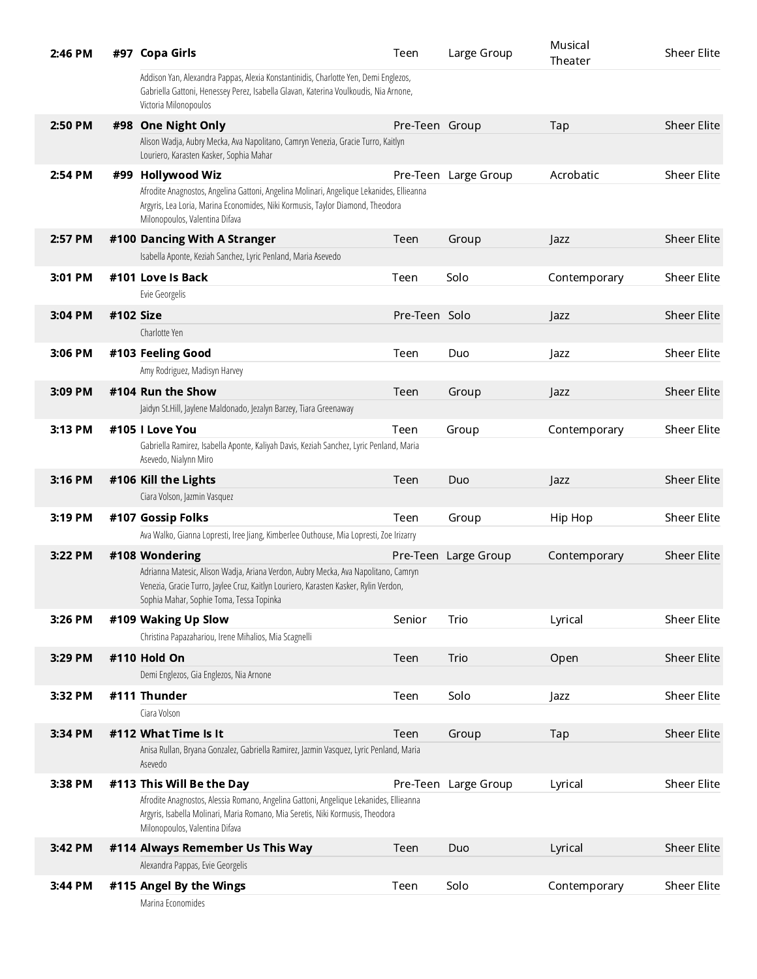| 2:46 PM |           | #97 Copa Girls                                                                                                                                                                                                         | Teen           | Large Group          | Musical<br>Theater | <b>Sheer Elite</b> |
|---------|-----------|------------------------------------------------------------------------------------------------------------------------------------------------------------------------------------------------------------------------|----------------|----------------------|--------------------|--------------------|
|         |           | Addison Yan, Alexandra Pappas, Alexia Konstantinidis, Charlotte Yen, Demi Englezos,<br>Gabriella Gattoni, Henessey Perez, Isabella Glavan, Katerina Voulkoudis, Nia Arnone,<br>Victoria Milonopoulos                   |                |                      |                    |                    |
| 2:50 PM |           | #98 One Night Only                                                                                                                                                                                                     | Pre-Teen Group |                      | Tap                | <b>Sheer Elite</b> |
|         |           | Alison Wadja, Aubry Mecka, Ava Napolitano, Camryn Venezia, Gracie Turro, Kaitlyn<br>Louriero, Karasten Kasker, Sophia Mahar                                                                                            |                |                      |                    |                    |
| 2:54 PM |           | #99 Hollywood Wiz                                                                                                                                                                                                      |                | Pre-Teen Large Group | Acrobatic          | <b>Sheer Elite</b> |
|         |           | Afrodite Anagnostos, Angelina Gattoni, Angelina Molinari, Angelique Lekanides, Ellieanna<br>Argyris, Lea Loria, Marina Economides, Niki Kormusis, Taylor Diamond, Theodora<br>Milonopoulos, Valentina Difava           |                |                      |                    |                    |
| 2:57 PM |           | #100 Dancing With A Stranger                                                                                                                                                                                           | Teen           | Group                | Jazz               | <b>Sheer Elite</b> |
|         |           | Isabella Aponte, Keziah Sanchez, Lyric Penland, Maria Asevedo                                                                                                                                                          |                |                      |                    |                    |
| 3:01 PM |           | #101 Love Is Back                                                                                                                                                                                                      | Teen           | Solo                 | Contemporary       | <b>Sheer Elite</b> |
|         |           | Evie Georgelis                                                                                                                                                                                                         |                |                      |                    |                    |
| 3:04 PM | #102 Size |                                                                                                                                                                                                                        | Pre-Teen Solo  |                      | Jazz               | <b>Sheer Elite</b> |
|         |           | Charlotte Yen                                                                                                                                                                                                          |                |                      |                    |                    |
| 3:06 PM |           | #103 Feeling Good                                                                                                                                                                                                      | Teen           | Duo                  | Jazz               | <b>Sheer Elite</b> |
|         |           | Amy Rodriguez, Madisyn Harvey                                                                                                                                                                                          |                |                      |                    |                    |
| 3:09 PM |           | #104 Run the Show                                                                                                                                                                                                      | Teen           | Group                | Jazz               | <b>Sheer Elite</b> |
|         |           | Jaidyn St.Hill, Jaylene Maldonado, Jezalyn Barzey, Tiara Greenaway                                                                                                                                                     |                |                      |                    |                    |
| 3:13 PM |           | #105 I Love You                                                                                                                                                                                                        | Teen           | Group                | Contemporary       | <b>Sheer Elite</b> |
|         |           | Gabriella Ramirez, Isabella Aponte, Kaliyah Davis, Keziah Sanchez, Lyric Penland, Maria<br>Asevedo, Nialynn Miro                                                                                                       |                |                      |                    |                    |
| 3:16 PM |           | #106 Kill the Lights                                                                                                                                                                                                   | Teen           | Duo                  | Jazz               | <b>Sheer Elite</b> |
|         |           | Ciara Volson, Jazmin Vasquez                                                                                                                                                                                           |                |                      |                    |                    |
| 3:19 PM |           | #107 Gossip Folks                                                                                                                                                                                                      | Teen           | Group                | Hip Hop            | <b>Sheer Elite</b> |
|         |           | Ava Walko, Gianna Lopresti, Iree Jiang, Kimberlee Outhouse, Mia Lopresti, Zoe Irizarry                                                                                                                                 |                |                      |                    |                    |
| 3:22 PM |           | #108 Wondering                                                                                                                                                                                                         |                | Pre-Teen Large Group | Contemporary       | <b>Sheer Elite</b> |
|         |           | Adrianna Matesic, Alison Wadja, Ariana Verdon, Aubry Mecka, Ava Napolitano, Camryn<br>Venezia, Gracie Turro, Jaylee Cruz, Kaitlyn Louriero, Karasten Kasker, Rylin Verdon,<br>Sophia Mahar, Sophie Toma, Tessa Topinka |                |                      |                    |                    |
| 3:26 PM |           | #109 Waking Up Slow                                                                                                                                                                                                    | Senior         | Trio                 | Lyrical            | Sheer Elite        |
|         |           | Christina Papazahariou, Irene Mihalios, Mia Scagnelli                                                                                                                                                                  |                |                      |                    |                    |
| 3:29 PM |           | #110 Hold On                                                                                                                                                                                                           | Teen           | Trio                 | Open               | <b>Sheer Elite</b> |
|         |           | Demi Englezos, Gia Englezos, Nia Arnone                                                                                                                                                                                |                |                      |                    |                    |
| 3:32 PM |           | #111 Thunder                                                                                                                                                                                                           | Teen           | Solo                 | Jazz               | Sheer Elite        |
|         |           | Ciara Volson                                                                                                                                                                                                           |                |                      |                    |                    |
| 3:34 PM |           | #112 What Time Is It                                                                                                                                                                                                   | Teen           | Group                | Tap                | <b>Sheer Elite</b> |
|         |           | Anisa Rullan, Bryana Gonzalez, Gabriella Ramirez, Jazmin Vasquez, Lyric Penland, Maria<br>Asevedo                                                                                                                      |                |                      |                    |                    |
| 3:38 PM |           | #113 This Will Be the Day                                                                                                                                                                                              | Pre-Teen       | Large Group          | Lyrical            | Sheer Elite        |
|         |           | Afrodite Anagnostos, Alessia Romano, Angelina Gattoni, Angelique Lekanides, Ellieanna<br>Argyris, Isabella Molinari, Maria Romano, Mia Seretis, Niki Kormusis, Theodora<br>Milonopoulos, Valentina Difava              |                |                      |                    |                    |
| 3:42 PM |           | #114 Always Remember Us This Way                                                                                                                                                                                       | Teen           | Duo                  | Lyrical            | <b>Sheer Elite</b> |
|         |           | Alexandra Pappas, Evie Georgelis                                                                                                                                                                                       |                |                      |                    |                    |
| 3:44 PM |           | #115 Angel By the Wings<br>Marina Economides                                                                                                                                                                           | Teen           | Solo                 | Contemporary       | <b>Sheer Elite</b> |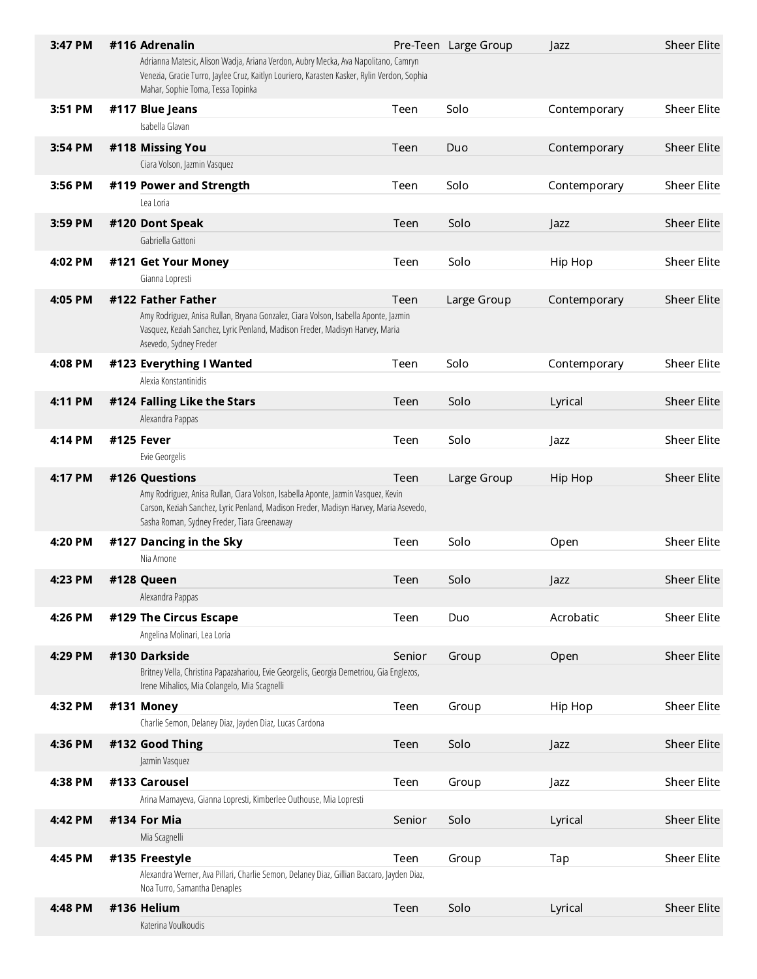| 3:47 PM | #116 Adrenalin                                                                                                                                                                                                            |        | Pre-Teen Large Group | Jazz         | <b>Sheer Elite</b> |
|---------|---------------------------------------------------------------------------------------------------------------------------------------------------------------------------------------------------------------------------|--------|----------------------|--------------|--------------------|
|         | Adrianna Matesic, Alison Wadja, Ariana Verdon, Aubry Mecka, Ava Napolitano, Camryn<br>Venezia, Gracie Turro, Jaylee Cruz, Kaitlyn Louriero, Karasten Kasker, Rylin Verdon, Sophia<br>Mahar, Sophie Toma, Tessa Topinka    |        |                      |              |                    |
| 3:51 PM | #117 Blue Jeans                                                                                                                                                                                                           | Teen   | Solo                 | Contemporary | <b>Sheer Elite</b> |
|         | Isabella Glavan                                                                                                                                                                                                           |        |                      |              |                    |
| 3:54 PM | #118 Missing You                                                                                                                                                                                                          | Teen   | Duo                  | Contemporary | <b>Sheer Elite</b> |
|         | Ciara Volson, Jazmin Vasquez                                                                                                                                                                                              |        |                      |              |                    |
| 3:56 PM | #119 Power and Strength                                                                                                                                                                                                   | Teen   | Solo                 | Contemporary | Sheer Elite        |
|         | Lea Loria                                                                                                                                                                                                                 |        |                      |              |                    |
| 3:59 PM | #120 Dont Speak                                                                                                                                                                                                           | Teen   | Solo                 | Jazz         | <b>Sheer Elite</b> |
|         | Gabriella Gattoni                                                                                                                                                                                                         |        |                      |              |                    |
| 4:02 PM | #121 Get Your Money                                                                                                                                                                                                       | Teen   | Solo                 | Hip Hop      | <b>Sheer Elite</b> |
|         | Gianna Lopresti                                                                                                                                                                                                           |        |                      |              |                    |
| 4:05 PM | #122 Father Father                                                                                                                                                                                                        | Teen   | Large Group          | Contemporary | <b>Sheer Elite</b> |
|         | Amy Rodriguez, Anisa Rullan, Bryana Gonzalez, Ciara Volson, Isabella Aponte, Jazmin<br>Vasquez, Keziah Sanchez, Lyric Penland, Madison Freder, Madisyn Harvey, Maria<br>Asevedo, Sydney Freder                            |        |                      |              |                    |
| 4:08 PM | #123 Everything I Wanted                                                                                                                                                                                                  | Teen   | Solo                 | Contemporary | <b>Sheer Elite</b> |
|         | Alexia Konstantinidis                                                                                                                                                                                                     |        |                      |              |                    |
| 4:11 PM | #124 Falling Like the Stars                                                                                                                                                                                               | Teen   | Solo                 | Lyrical      | <b>Sheer Elite</b> |
|         | Alexandra Pappas                                                                                                                                                                                                          |        |                      |              |                    |
| 4:14 PM | #125 Fever                                                                                                                                                                                                                | Teen   | Solo                 | Jazz         | <b>Sheer Elite</b> |
|         | Evie Georgelis                                                                                                                                                                                                            |        |                      |              |                    |
| 4:17 PM | #126 Questions                                                                                                                                                                                                            | Teen   | Large Group          | Hip Hop      | <b>Sheer Elite</b> |
|         | Amy Rodriguez, Anisa Rullan, Ciara Volson, Isabella Aponte, Jazmin Vasquez, Kevin<br>Carson, Keziah Sanchez, Lyric Penland, Madison Freder, Madisyn Harvey, Maria Asevedo,<br>Sasha Roman, Sydney Freder, Tiara Greenaway |        |                      |              |                    |
| 4:20 PM | #127 Dancing in the Sky                                                                                                                                                                                                   | Teen   | Solo                 | Open         | <b>Sheer Elite</b> |
|         | Nia Arnone                                                                                                                                                                                                                |        |                      |              |                    |
| 4:23 PM | #128 Queen                                                                                                                                                                                                                | Teen   | Solo                 | Jazz         | <b>Sheer Elite</b> |
|         | Alexandra Pappas                                                                                                                                                                                                          |        |                      |              |                    |
| 4:26 PM | #129 The Circus Escape                                                                                                                                                                                                    | Teen   | Duo                  | Acrobatic    | Sheer Elite        |
|         | Angelina Molinari, Lea Loria                                                                                                                                                                                              |        |                      |              |                    |
| 4:29 PM | #130 Darkside                                                                                                                                                                                                             | Senior | Group                | Open         | <b>Sheer Elite</b> |
|         | Britney Vella, Christina Papazahariou, Evie Georgelis, Georgia Demetriou, Gia Englezos,<br>Irene Mihalios, Mia Colangelo, Mia Scagnelli                                                                                   |        |                      |              |                    |
| 4:32 PM | #131 Money                                                                                                                                                                                                                | Teen   | Group                | Hip Hop      | <b>Sheer Elite</b> |
|         | Charlie Semon, Delaney Diaz, Jayden Diaz, Lucas Cardona                                                                                                                                                                   |        |                      |              |                    |
| 4:36 PM | #132 Good Thing                                                                                                                                                                                                           | Teen   | Solo                 | Jazz         | <b>Sheer Elite</b> |
|         | Jazmin Vasquez                                                                                                                                                                                                            |        |                      |              |                    |
| 4:38 PM | #133 Carousel                                                                                                                                                                                                             | Teen   | Group                | Jazz         | <b>Sheer Elite</b> |
|         | Arina Mamayeva, Gianna Lopresti, Kimberlee Outhouse, Mia Lopresti                                                                                                                                                         |        |                      |              |                    |
| 4:42 PM | #134 For Mia                                                                                                                                                                                                              | Senior | Solo                 | Lyrical      | <b>Sheer Elite</b> |
|         | Mia Scagnelli                                                                                                                                                                                                             |        |                      |              |                    |
| 4:45 PM | #135 Freestyle                                                                                                                                                                                                            | Teen   | Group                | Tap          | <b>Sheer Elite</b> |
|         | Alexandra Werner, Ava Pillari, Charlie Semon, Delaney Diaz, Gillian Baccaro, Jayden Diaz,<br>Noa Turro, Samantha Denaples                                                                                                 |        |                      |              |                    |
| 4:48 PM | #136 Helium                                                                                                                                                                                                               | Teen   | Solo                 | Lyrical      | <b>Sheer Elite</b> |
|         | Katerina Voulkoudis                                                                                                                                                                                                       |        |                      |              |                    |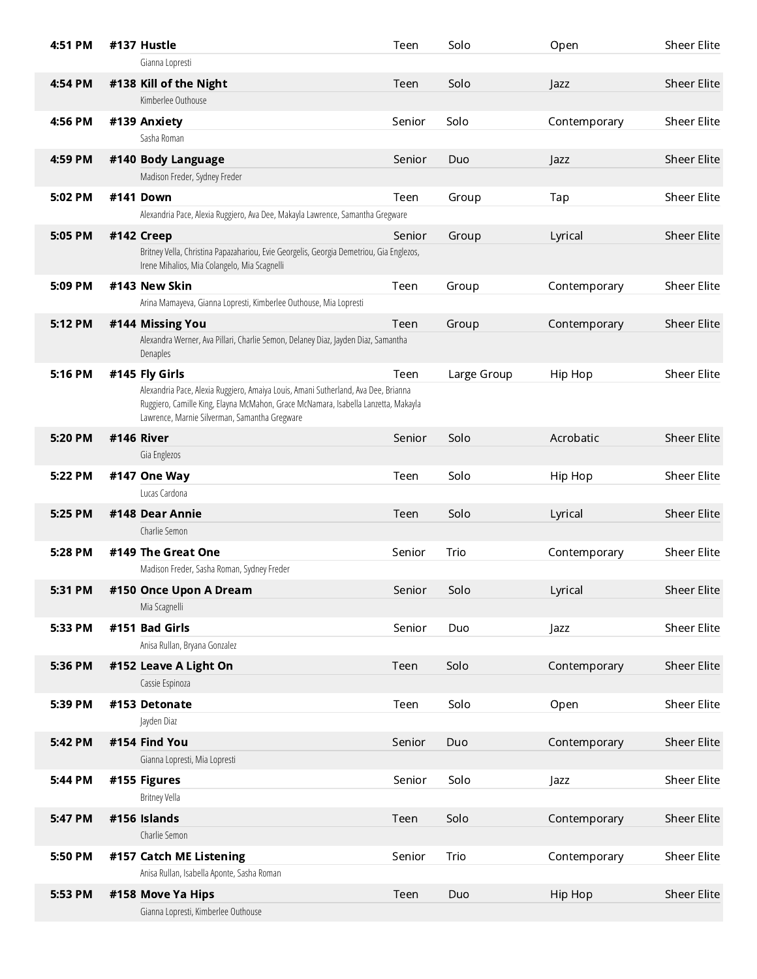| 4:51 PM | #137 Hustle                                                                                                                                                                                                               | Teen   | Solo        | Open         | <b>Sheer Elite</b> |
|---------|---------------------------------------------------------------------------------------------------------------------------------------------------------------------------------------------------------------------------|--------|-------------|--------------|--------------------|
|         | Gianna Lopresti                                                                                                                                                                                                           |        |             |              |                    |
| 4:54 PM | #138 Kill of the Night                                                                                                                                                                                                    | Teen   | Solo        | Jazz         | <b>Sheer Elite</b> |
|         | Kimberlee Outhouse                                                                                                                                                                                                        |        |             |              |                    |
| 4:56 PM | #139 Anxiety                                                                                                                                                                                                              | Senior | Solo        | Contemporary | Sheer Elite        |
|         | Sasha Roman                                                                                                                                                                                                               |        |             |              |                    |
| 4:59 PM | #140 Body Language                                                                                                                                                                                                        | Senior | Duo         | Jazz         | <b>Sheer Elite</b> |
|         | Madison Freder, Sydney Freder                                                                                                                                                                                             |        |             |              |                    |
| 5:02 PM | #141 Down                                                                                                                                                                                                                 | Teen   | Group       | Tap          | <b>Sheer Elite</b> |
|         | Alexandria Pace, Alexia Ruggiero, Ava Dee, Makayla Lawrence, Samantha Gregware                                                                                                                                            |        |             |              |                    |
| 5:05 PM | #142 Creep                                                                                                                                                                                                                | Senior | Group       | Lyrical      | <b>Sheer Elite</b> |
|         | Britney Vella, Christina Papazahariou, Evie Georgelis, Georgia Demetriou, Gia Englezos,<br>Irene Mihalios, Mia Colangelo, Mia Scagnelli                                                                                   |        |             |              |                    |
| 5:09 PM | #143 New Skin                                                                                                                                                                                                             | Teen   | Group       | Contemporary | Sheer Elite        |
|         | Arina Mamayeva, Gianna Lopresti, Kimberlee Outhouse, Mia Lopresti                                                                                                                                                         |        |             |              |                    |
| 5:12 PM | #144 Missing You                                                                                                                                                                                                          | Teen   | Group       | Contemporary | <b>Sheer Elite</b> |
|         | Alexandra Werner, Ava Pillari, Charlie Semon, Delaney Diaz, Jayden Diaz, Samantha                                                                                                                                         |        |             |              |                    |
|         | Denaples                                                                                                                                                                                                                  |        |             |              |                    |
| 5:16 PM | #145 Fly Girls                                                                                                                                                                                                            | Teen   | Large Group | Hip Hop      | <b>Sheer Elite</b> |
|         | Alexandria Pace, Alexia Ruggiero, Amaiya Louis, Amani Sutherland, Ava Dee, Brianna<br>Ruggiero, Camille King, Elayna McMahon, Grace McNamara, Isabella Lanzetta, Makayla<br>Lawrence, Marnie Silverman, Samantha Gregware |        |             |              |                    |
| 5:20 PM | #146 River                                                                                                                                                                                                                | Senior | Solo        | Acrobatic    | Sheer Elite        |
|         | Gia Englezos                                                                                                                                                                                                              |        |             |              |                    |
| 5:22 PM | #147 One Way                                                                                                                                                                                                              | Teen   | Solo        | Hip Hop      | Sheer Elite        |
|         | Lucas Cardona                                                                                                                                                                                                             |        |             |              |                    |
| 5:25 PM | #148 Dear Annie                                                                                                                                                                                                           | Teen   | Solo        | Lyrical      | <b>Sheer Elite</b> |
|         | Charlie Semon                                                                                                                                                                                                             |        |             |              |                    |
| 5:28 PM | #149 The Great One                                                                                                                                                                                                        | Senior | Trio        | Contemporary | Sheer Elite        |
|         | Madison Freder, Sasha Roman, Sydney Freder                                                                                                                                                                                |        |             |              |                    |
| 5:31 PM | #150 Once Upon A Dream                                                                                                                                                                                                    | Senior | Solo        | Lyrical      | <b>Sheer Elite</b> |
|         | Mia Scagnelli                                                                                                                                                                                                             |        |             |              |                    |
| 5:33 PM | #151 Bad Girls                                                                                                                                                                                                            | Senior | Duo         | Jazz         | <b>Sheer Elite</b> |
|         | Anisa Rullan, Bryana Gonzalez                                                                                                                                                                                             |        |             |              |                    |
| 5:36 PM | #152 Leave A Light On                                                                                                                                                                                                     | Teen   | Solo        | Contemporary | Sheer Elite        |
|         | Cassie Espinoza                                                                                                                                                                                                           |        |             |              |                    |
| 5:39 PM | #153 Detonate                                                                                                                                                                                                             | Teen   | Solo        | Open         | Sheer Elite        |
|         | Jayden Diaz                                                                                                                                                                                                               |        |             |              |                    |
| 5:42 PM | #154 Find You                                                                                                                                                                                                             | Senior | Duo         | Contemporary | Sheer Elite        |
|         | Gianna Lopresti, Mia Lopresti                                                                                                                                                                                             |        |             |              |                    |
| 5:44 PM | #155 Figures                                                                                                                                                                                                              | Senior | Solo        | Jazz         | Sheer Elite        |
|         | <b>Britney Vella</b>                                                                                                                                                                                                      |        |             |              |                    |
| 5:47 PM | #156 Islands                                                                                                                                                                                                              | Teen   | Solo        | Contemporary | <b>Sheer Elite</b> |
|         | Charlie Semon                                                                                                                                                                                                             |        |             |              |                    |
| 5:50 PM | #157 Catch ME Listening                                                                                                                                                                                                   | Senior | Trio        | Contemporary | Sheer Elite        |
|         | Anisa Rullan, Isabella Aponte, Sasha Roman                                                                                                                                                                                |        |             |              |                    |
| 5:53 PM | #158 Move Ya Hips                                                                                                                                                                                                         | Teen   | Duo         | Hip Hop      | <b>Sheer Elite</b> |
|         | Gianna Lopresti, Kimberlee Outhouse                                                                                                                                                                                       |        |             |              |                    |
|         |                                                                                                                                                                                                                           |        |             |              |                    |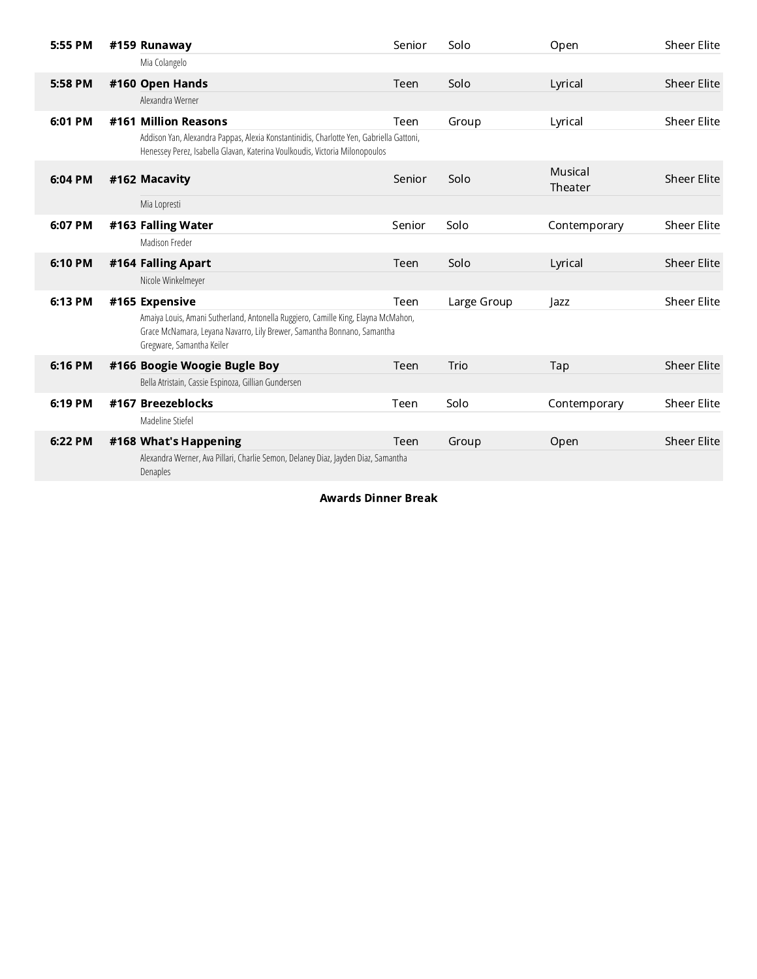| 5:55 PM |  | #159 Runaway                                                                                                                                                                              | Senior | Solo        | Open               | <b>Sheer Elite</b> |
|---------|--|-------------------------------------------------------------------------------------------------------------------------------------------------------------------------------------------|--------|-------------|--------------------|--------------------|
|         |  | Mia Colangelo                                                                                                                                                                             |        |             |                    |                    |
| 5:58 PM |  | #160 Open Hands                                                                                                                                                                           | Teen   | Solo        | Lyrical            | <b>Sheer Elite</b> |
|         |  | Alexandra Werner                                                                                                                                                                          |        |             |                    |                    |
| 6:01 PM |  | #161 Million Reasons                                                                                                                                                                      | Teen   | Group       | Lyrical            | <b>Sheer Elite</b> |
|         |  | Addison Yan, Alexandra Pappas, Alexia Konstantinidis, Charlotte Yen, Gabriella Gattoni,<br>Henessey Perez, Isabella Glavan, Katerina Voulkoudis, Victoria Milonopoulos                    |        |             |                    |                    |
| 6:04 PM |  | #162 Macavity                                                                                                                                                                             | Senior | Solo        | Musical<br>Theater | <b>Sheer Elite</b> |
|         |  | Mia Lopresti                                                                                                                                                                              |        |             |                    |                    |
| 6:07 PM |  | #163 Falling Water                                                                                                                                                                        | Senior | Solo        | Contemporary       | <b>Sheer Elite</b> |
|         |  | Madison Freder                                                                                                                                                                            |        |             |                    |                    |
| 6:10 PM |  | #164 Falling Apart                                                                                                                                                                        | Teen   | Solo        | Lyrical            | <b>Sheer Elite</b> |
|         |  | Nicole Winkelmeyer                                                                                                                                                                        |        |             |                    |                    |
| 6:13 PM |  | #165 Expensive                                                                                                                                                                            | Teen   | Large Group | Jazz               | <b>Sheer Elite</b> |
|         |  | Amaiya Louis, Amani Sutherland, Antonella Ruggiero, Camille King, Elayna McMahon,<br>Grace McNamara, Leyana Navarro, Lily Brewer, Samantha Bonnano, Samantha<br>Gregware, Samantha Keiler |        |             |                    |                    |
| 6:16 PM |  | #166 Boogie Woogie Bugle Boy                                                                                                                                                              | Teen   | Trio        | Tap                | <b>Sheer Elite</b> |
|         |  | Bella Atristain, Cassie Espinoza, Gillian Gundersen                                                                                                                                       |        |             |                    |                    |
| 6:19 PM |  | #167 Breezeblocks                                                                                                                                                                         | Teen   | Solo        | Contemporary       | <b>Sheer Elite</b> |
|         |  | Madeline Stiefel                                                                                                                                                                          |        |             |                    |                    |
| 6:22 PM |  | #168 What's Happening                                                                                                                                                                     | Teen   | Group       | Open               | <b>Sheer Elite</b> |
|         |  | Alexandra Werner, Ava Pillari, Charlie Semon, Delaney Diaz, Jayden Diaz, Samantha<br>Denaples                                                                                             |        |             |                    |                    |

Awards Dinner Break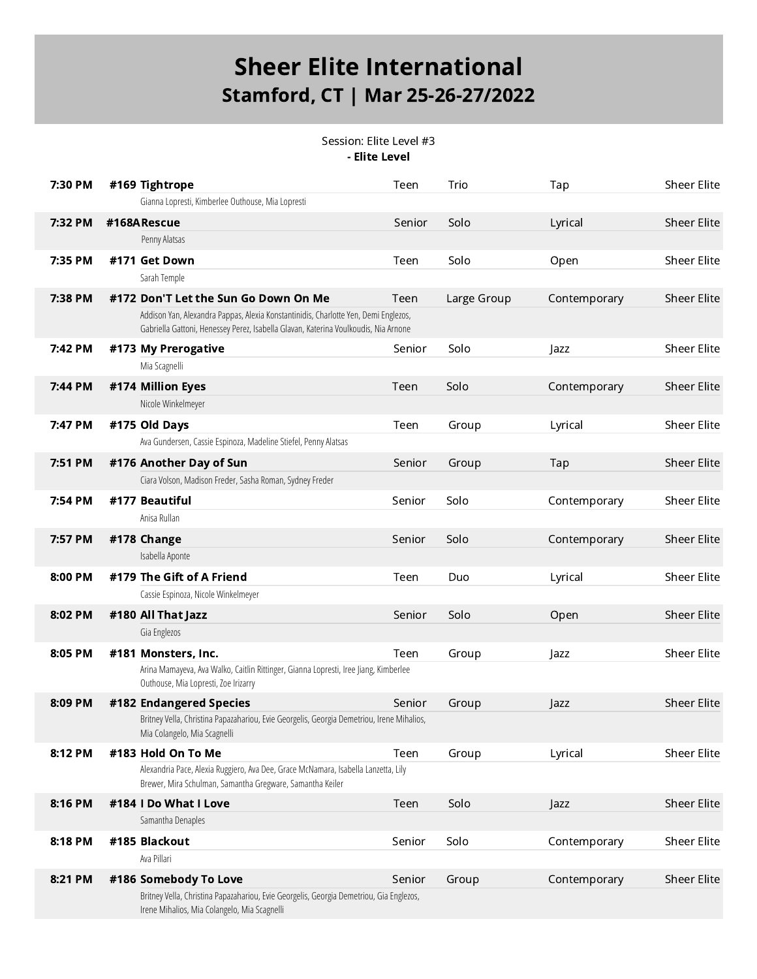Session: Elite Level #3 - Elite Level

| 7:30 PM |  | #169 Tightrope                                                                                                                                                             | Teen   | Trio        | Tap          | Sheer Elite        |  |  |
|---------|--|----------------------------------------------------------------------------------------------------------------------------------------------------------------------------|--------|-------------|--------------|--------------------|--|--|
|         |  | Gianna Lopresti, Kimberlee Outhouse, Mia Lopresti                                                                                                                          |        |             |              |                    |  |  |
| 7:32 PM |  | #168ARescue                                                                                                                                                                | Senior | Solo        | Lyrical      | <b>Sheer Elite</b> |  |  |
|         |  | Penny Alatsas                                                                                                                                                              |        |             |              |                    |  |  |
| 7:35 PM |  | #171 Get Down                                                                                                                                                              | Teen   | Solo        | Open         | <b>Sheer Elite</b> |  |  |
|         |  | Sarah Temple                                                                                                                                                               |        |             |              |                    |  |  |
| 7:38 PM |  | #172 Don'T Let the Sun Go Down On Me                                                                                                                                       | Teen   | Large Group | Contemporary | <b>Sheer Elite</b> |  |  |
|         |  | Addison Yan, Alexandra Pappas, Alexia Konstantinidis, Charlotte Yen, Demi Englezos,<br>Gabriella Gattoni, Henessey Perez, Isabella Glavan, Katerina Voulkoudis, Nia Arnone |        |             |              |                    |  |  |
| 7:42 PM |  | #173 My Prerogative                                                                                                                                                        | Senior | Solo        | Jazz         | <b>Sheer Elite</b> |  |  |
|         |  | Mia Scagnelli                                                                                                                                                              |        |             |              |                    |  |  |
| 7:44 PM |  | #174 Million Eyes                                                                                                                                                          | Teen   | Solo        | Contemporary | <b>Sheer Elite</b> |  |  |
|         |  | Nicole Winkelmeyer                                                                                                                                                         |        |             |              |                    |  |  |
| 7:47 PM |  | #175 Old Days                                                                                                                                                              | Teen   | Group       | Lyrical      | <b>Sheer Elite</b> |  |  |
|         |  | Ava Gundersen, Cassie Espinoza, Madeline Stiefel, Penny Alatsas                                                                                                            |        |             |              |                    |  |  |
| 7:51 PM |  | #176 Another Day of Sun                                                                                                                                                    | Senior | Group       | Tap          | <b>Sheer Elite</b> |  |  |
|         |  | Ciara Volson, Madison Freder, Sasha Roman, Sydney Freder                                                                                                                   |        |             |              |                    |  |  |
| 7:54 PM |  | #177 Beautiful                                                                                                                                                             | Senior | Solo        | Contemporary | <b>Sheer Elite</b> |  |  |
|         |  | Anisa Rullan                                                                                                                                                               |        |             |              |                    |  |  |
| 7:57 PM |  | #178 Change                                                                                                                                                                | Senior | Solo        | Contemporary | <b>Sheer Elite</b> |  |  |
|         |  | Isabella Aponte                                                                                                                                                            |        |             |              |                    |  |  |
| 8:00 PM |  | #179 The Gift of A Friend                                                                                                                                                  | Teen   | Duo         | Lyrical      | Sheer Elite        |  |  |
|         |  | Cassie Espinoza, Nicole Winkelmeyer                                                                                                                                        |        |             |              |                    |  |  |
| 8:02 PM |  | #180 All That Jazz                                                                                                                                                         | Senior | Solo        | Open         | <b>Sheer Elite</b> |  |  |
|         |  | Gia Englezos                                                                                                                                                               |        |             |              |                    |  |  |
| 8:05 PM |  | #181 Monsters, Inc.                                                                                                                                                        | Teen   | Group       | Jazz         | <b>Sheer Elite</b> |  |  |
|         |  | Arina Mamayeva, Ava Walko, Caitlin Rittinger, Gianna Lopresti, Iree Jiang, Kimberlee<br>Outhouse, Mia Lopresti, Zoe Irizarry                                               |        |             |              |                    |  |  |
| 8:09 PM |  | #182 Endangered Species                                                                                                                                                    | Senior | Group       | $\vert$ azz  | <b>Sheer Elite</b> |  |  |
|         |  | Britney Vella, Christina Papazahariou, Evie Georgelis, Georgia Demetriou, Irene Mihalios,<br>Mia Colangelo, Mia Scagnelli                                                  |        |             |              |                    |  |  |
| 8:12 PM |  | #183 Hold On To Me                                                                                                                                                         | Teen   | Group       | Lyrical      | Sheer Elite        |  |  |
|         |  | Alexandria Pace, Alexia Ruggiero, Ava Dee, Grace McNamara, Isabella Lanzetta, Lily<br>Brewer, Mira Schulman, Samantha Gregware, Samantha Keiler                            |        |             |              |                    |  |  |
| 8:16 PM |  | #184 I Do What I Love                                                                                                                                                      | Teen   | Solo        | Jazz         | <b>Sheer Elite</b> |  |  |
|         |  | Samantha Denaples                                                                                                                                                          |        |             |              |                    |  |  |
| 8:18 PM |  | #185 Blackout                                                                                                                                                              | Senior | Solo        | Contemporary | Sheer Elite        |  |  |
|         |  | Ava Pillari                                                                                                                                                                |        |             |              |                    |  |  |
| 8:21 PM |  | #186 Somebody To Love                                                                                                                                                      | Senior | Group       | Contemporary | <b>Sheer Elite</b> |  |  |
|         |  | Britney Vella, Christina Papazahariou, Evie Georgelis, Georgia Demetriou, Gia Englezos,<br>Irene Mihalios, Mia Colangelo, Mia Scagnelli                                    |        |             |              |                    |  |  |